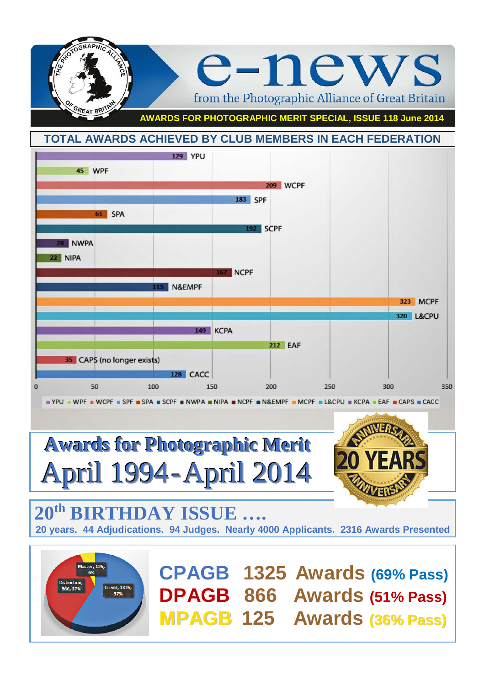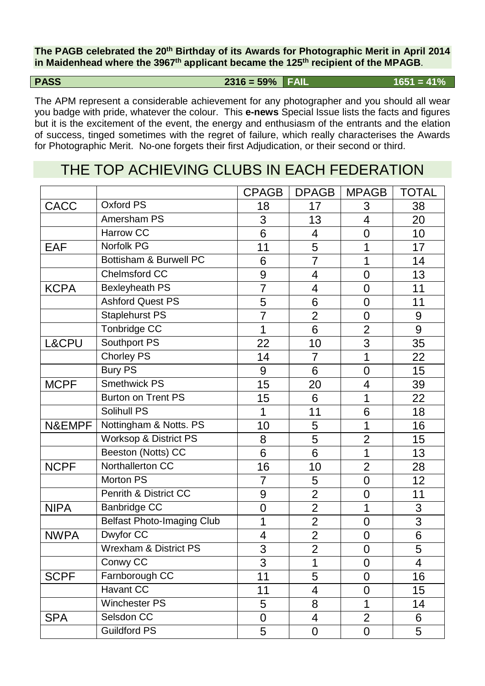**The PAGB celebrated the 20th Birthday of its Awards for Photographic Merit in April 2014 in Maidenhead where the 3967th applicant became the 125th recipient of the MPAGB**.

**PASS** 2316 = 59% **FAIL** 1651 = 41%

The APM represent a considerable achievement for any photographer and you should all wear you badge with pride, whatever the colour. This **e-news** Special Issue lists the facts and figures but it is the excitement of the event, the energy and enthusiasm of the entrants and the elation of success, tinged sometimes with the regret of failure, which really characterises the Awards for Photographic Merit. No-one forgets their first Adjudication, or their second or third.

## THE TOP ACHIEVING CLUBS IN EACH FEDERATION

|             |                                   | <b>CPAGB</b>   | <b>DPAGB</b>   | <b>MPAGB</b>   | <b>TOTAL</b> |
|-------------|-----------------------------------|----------------|----------------|----------------|--------------|
| <b>CACC</b> | Oxford PS                         | 18             | 17             | 3              | 38           |
|             | Amersham PS                       | 3              | 13             | $\overline{4}$ | 20           |
|             | <b>Harrow CC</b>                  | 6              | 4              | $\overline{0}$ | 10           |
| <b>EAF</b>  | Norfolk PG                        | 11             | 5              | 1              | 17           |
|             | Bottisham & Burwell PC            | 6              | $\overline{7}$ | 1              | 14           |
|             | Chelmsford CC                     | 9              | 4              | $\overline{0}$ | 13           |
| <b>KCPA</b> | <b>Bexleyheath PS</b>             | $\overline{7}$ | $\overline{4}$ | $\overline{0}$ | 11           |
|             | <b>Ashford Quest PS</b>           | 5              | 6              | $\overline{0}$ | 11           |
|             | <b>Staplehurst PS</b>             | $\overline{7}$ | $\overline{2}$ | $\overline{0}$ | 9            |
|             | Tonbridge CC                      | 1              | 6              | $\overline{2}$ | 9            |
| L&CPU       | Southport PS                      | 22             | 10             | $\overline{3}$ | 35           |
|             | <b>Chorley PS</b>                 | 14             | $\overline{7}$ | 1              | 22           |
|             | <b>Bury PS</b>                    | 9              | 6              | $\overline{0}$ | 15           |
| <b>MCPF</b> | <b>Smethwick PS</b>               | 15             | 20             | $\overline{4}$ | 39           |
|             | <b>Burton on Trent PS</b>         | 15             | 6              | 1              | 22           |
|             | Solihull PS                       | 1              | 11             | 6              | 18           |
| N&EMPF      | Nottingham & Notts. PS            | 10             | 5              | 1              | 16           |
|             | <b>Worksop &amp; District PS</b>  | 8              | 5              | $\overline{2}$ | 15           |
|             | Beeston (Notts) CC                | 6              | 6              | 1              | 13           |
| <b>NCPF</b> | Northallerton CC                  | 16             | 10             | $\overline{2}$ | 28           |
|             | Morton PS                         | $\overline{7}$ | 5              | $\mathbf 0$    | 12           |
|             | Penrith & District CC             | 9              | $\overline{2}$ | $\mathbf 0$    | 11           |
| <b>NIPA</b> | <b>Banbridge CC</b>               | $\overline{0}$ | $\overline{2}$ | 1              | 3            |
|             | <b>Belfast Photo-Imaging Club</b> | 1              | $\overline{2}$ | $\overline{0}$ | 3            |
| <b>NWPA</b> | Dwyfor CC                         | 4              | $\overline{2}$ | $\overline{0}$ | 6            |
|             | <b>Wrexham &amp; District PS</b>  | 3              | $\overline{2}$ | $\pmb{0}$      | 5            |
|             | Conwy CC                          | 3              | 1              | $\overline{0}$ | 4            |
| <b>SCPF</b> | Farnborough CC                    | 11             | 5              | $\overline{0}$ | 16           |
|             | Havant CC                         | 11             | 4              | $\overline{0}$ | 15           |
|             | Winchester PS                     | 5              | 8              | 1              | 14           |
| <b>SPA</b>  | Selsdon CC                        | $\overline{0}$ | $\overline{4}$ | $\overline{2}$ | 6            |
|             | <b>Guildford PS</b>               | 5              | 0              | 0              | 5            |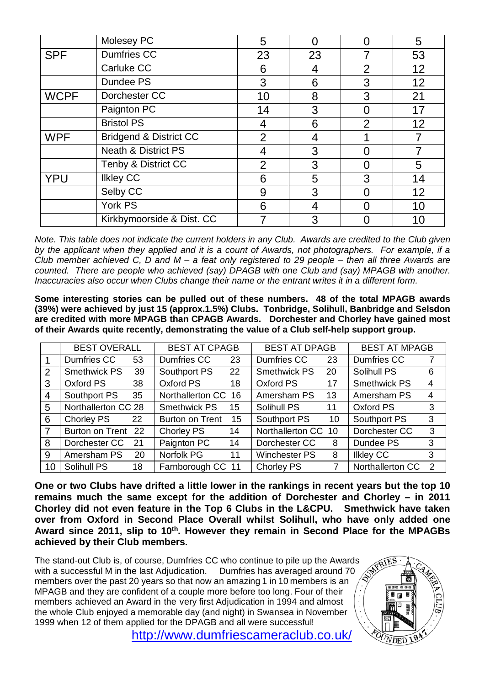|             | Molesey PC                        | 5              |    |                | 5  |
|-------------|-----------------------------------|----------------|----|----------------|----|
| <b>SPF</b>  | <b>Dumfries CC</b>                | 23             | 23 |                | 53 |
|             | Carluke CC                        | 6              | 4  | $\overline{2}$ | 12 |
|             | Dundee PS                         | 3              | 6  | 3              | 12 |
| <b>WCPF</b> | Dorchester CC                     | 10             | 8  | 3              | 21 |
|             | Paignton PC                       | 14             | 3  |                | 17 |
|             | <b>Bristol PS</b>                 |                | 6  | $\overline{2}$ | 12 |
| <b>WPF</b>  | <b>Bridgend &amp; District CC</b> | 2              | 4  |                |    |
|             | <b>Neath &amp; District PS</b>    |                | 3  |                |    |
|             | Tenby & District CC               | $\overline{2}$ | 3  |                | 5  |
| <b>YPU</b>  | <b>Ilkley CC</b>                  | 6              | 5  | 3              | 14 |
|             | Selby CC                          | 9              | 3  |                | 12 |
|             | York PS                           | 6              | 4  |                | 10 |
|             | Kirkbymoorside & Dist. CC         |                | 3  |                | 10 |

*Note. This table does not indicate the current holders in any Club. Awards are credited to the Club given by the applicant when they applied and it is a count of Awards, not photographers. For example, if a Club member achieved C, D and M – a feat only registered to 29 people – then all three Awards are counted. There are people who achieved (say) DPAGB with one Club and (say) MPAGB with another. Inaccuracies also occur when Clubs change their name or the entrant writes it in a different form.*

**Some interesting stories can be pulled out of these numbers. 48 of the total MPAGB awards (39%) were achieved by just 15 (approx.1.5%) Clubs. Tonbridge, Solihull, Banbridge and Selsdon are credited with more MPAGB than CPAGB Awards. Dorchester and Chorley have gained most of their Awards quite recently, demonstrating the value of a Club self-help support group.**

|    | <b>BEST OVERALL</b> |    | <b>BEST AT CPAGB</b>   |    | <b>BEST AT DPAGB</b> |    | <b>BEST AT MPAGB</b> |               |
|----|---------------------|----|------------------------|----|----------------------|----|----------------------|---------------|
|    | Dumfries CC         | 53 | Dumfries CC            | 23 | Dumfries CC          | 23 | Dumfries CC          |               |
| 2  | Smethwick PS        | 39 | Southport PS           | 22 | Smethwick PS         | 20 | Solihull PS          | 6             |
| 3  | Oxford PS           | 38 | Oxford PS              | 18 | Oxford PS            | 17 | <b>Smethwick PS</b>  | 4             |
| 4  | Southport PS        | 35 | Northallerton CC 16    |    | Amersham PS          | 13 | Amersham PS          | 4             |
| 5  | Northallerton CC 28 |    | <b>Smethwick PS</b>    | 15 | Solihull PS          | 11 | Oxford PS            | 3             |
| 6  | Chorley PS          | 22 | <b>Burton on Trent</b> | 15 | Southport PS         | 10 | Southport PS         | 3             |
| 7  | Burton on Trent 22  |    | Chorley PS             | 14 | Northallerton CC 10  |    | Dorchester CC        | $\mathbf{3}$  |
| 8  | Dorchester CC       | 21 | Paignton PC            | 14 | Dorchester CC        | 8  | Dundee PS            | $\mathbf{3}$  |
| 9  | Amersham PS         | 20 | Norfolk PG             | 11 | Winchester PS        | 8  | <b>Ilkley CC</b>     | 3             |
| 10 | Solihull PS         | 18 | Farnborough CC 11      |    | Chorley PS           | 7  | Northallerton CC     | $\mathcal{P}$ |

**One or two Clubs have drifted a little lower in the rankings in recent years but the top 10 remains much the same except for the addition of Dorchester and Chorley – in 2011 Chorley did not even feature in the Top 6 Clubs in the L&CPU. Smethwick have taken over from Oxford in Second Place Overall whilst Solihull, who have only added one**  Award since 2011, slip to 10<sup>th</sup>. However they remain in Second Place for the MPAGBs **achieved by their Club members.** 

The stand-out Club is, of course, Dumfries CC who continue to pile up the Awards with a successful M in the last Adjudication. Dumfries has averaged around 70 members over the past 20 years so that now an amazing 1 in 10 members is an MPAGB and they are confident of a couple more before too long. Four of their members achieved an Award in the very first Adjudication in 1994 and almost the whole Club enjoyed a memorable day (and night) in Swansea in November 1999 when 12 of them applied for the DPAGB and all were successful!



<http://www.dumfriescameraclub.co.uk/>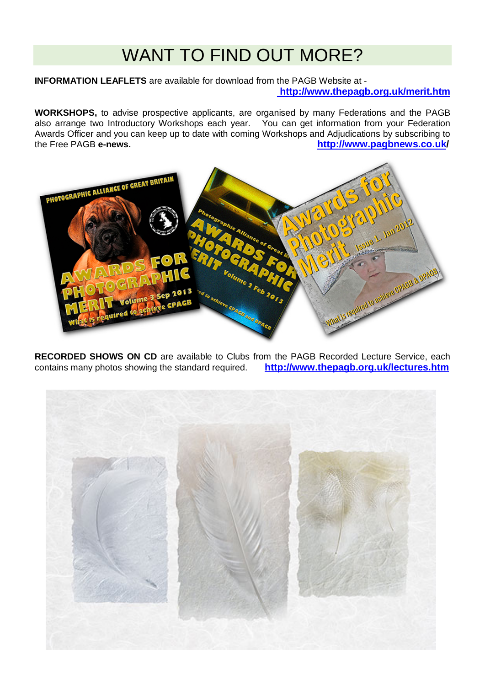# WANT TO FIND OUT MORE?

**INFORMATION LEAFLETS** are available for download from the PAGB Website at **<http://www.thepagb.org.uk/merit.htm>**

**WORKSHOPS,** to advise prospective applicants, are organised by many Federations and the PAGB also arrange two Introductory Workshops each year. You can get information from your Federation Awards Officer and you can keep up to date with coming Workshops and Adjudications by subscribing to the Free PAGB e-news. the Free PAGB **e-news. <http://www.pagbnews.co.uk/>**



**RECORDED SHOWS ON CD** are available to Clubs from the PAGB Recorded Lecture Service, each contains many photos showing the standard required. **http://www.thepagb.org.uk/lectures.htm** contains many photos showing the standard required.

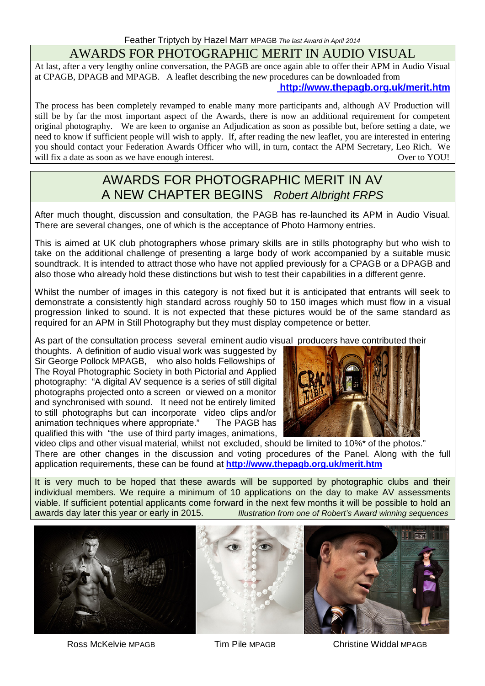### AWARDS FOR PHOTOGRAPHIC MERIT IN AUDIO VISUAL

At last, after a very lengthy online conversation, the PAGB are once again able to offer their APM in Audio Visual at CPAGB, DPAGB and MPAGB. A leaflet describing the new procedures can be downloaded from

### **<http://www.thepagb.org.uk/merit.htm>**

The process has been completely revamped to enable many more participants and, although AV Production will still be by far the most important aspect of the Awards, there is now an additional requirement for competent original photography. We are keen to organise an Adjudication as soon as possible but, before setting a date, we need to know if sufficient people will wish to apply. If, after reading the new leaflet, you are interested in entering you should contact your Federation Awards Officer who will, in turn, contact the APM Secretary, Leo Rich. We will fix a date as soon as we have enough interest. will fix a date as soon as we have enough interest.

### AWARDS FOR PHOTOGRAPHIC MERIT IN AV A NEW CHAPTER BEGINS*Robert Albright FRPS*

After much thought, discussion and consultation, the PAGB has re-launched its APM in Audio Visual. There are several changes, one of which is the acceptance of Photo Harmony entries.

This is aimed at UK club photographers whose primary skills are in stills photography but who wish to take on the additional challenge of presenting a large body of work accompanied by a suitable music soundtrack. It is intended to attract those who have not applied previously for a CPAGB or a DPAGB and also those who already hold these distinctions but wish to test their capabilities in a different genre.

Whilst the number of images in this category is not fixed but it is anticipated that entrants will seek to demonstrate a consistently high standard across roughly 50 to 150 images which must flow in a visual progression linked to sound. It is not expected that these pictures would be of the same standard as required for an APM in Still Photography but they must display competence or better.

As part of the consultation process several eminent audio visual producers have contributed their

thoughts. A definition of audio visual work was suggested by Sir George Pollock MPAGB, who also holds Fellowships of The Royal Photographic Society in both Pictorial and Applied photography: "A digital AV sequence is a series of still digital photographs projected onto a screen or viewed on a monitor and synchronised with sound. It need not be entirely limited to still photographs but can incorporate video clips and/or animation techniques where appropriate." The PAGB has animation techniques where appropriate." qualified this with "the use of third party images, animations,



video clips and other visual material, whilst not excluded, should be limited to 10%\* of the photos." There are other changes in the discussion and voting procedures of the Panel. Along with the full application requirements, these can be found at **<http://www.thepagb.org.uk/merit.htm>**

It is very much to be hoped that these awards will be supported by photographic clubs and their individual members. We require a minimum of 10 applications on the day to make AV assessments viable. If sufficient potential applicants come forward in the next few months it will be possible to hold an **Illustration from one of Robert's Award winning sequences** 



Ross McKelvie MPAGB Tim Pile MPAGB Christine Widdal MPAGB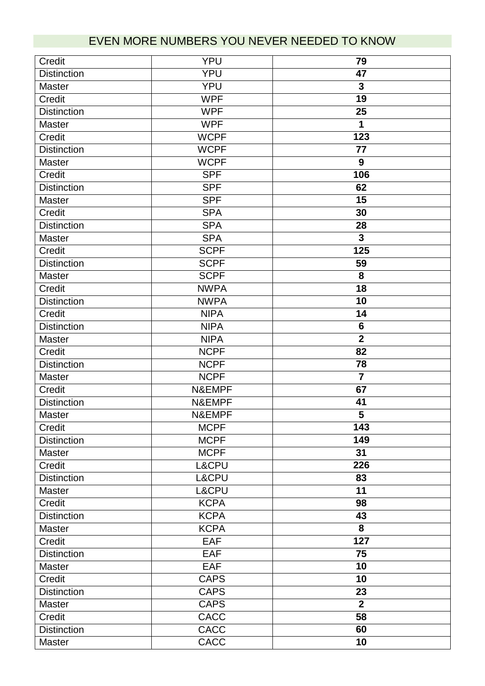## EVEN MORE NUMBERS YOU NEVER NEEDED TO KNOW

| Credit             | <b>YPU</b>  | 79                      |
|--------------------|-------------|-------------------------|
| <b>Distinction</b> | <b>YPU</b>  | 47                      |
| <b>Master</b>      | <b>YPU</b>  | $\mathbf{3}$            |
| Credit             | <b>WPF</b>  | 19                      |
| <b>Distinction</b> | <b>WPF</b>  | 25                      |
| <b>Master</b>      | <b>WPF</b>  | 1                       |
| Credit             | <b>WCPF</b> | 123                     |
| <b>Distinction</b> | <b>WCPF</b> | 77                      |
| <b>Master</b>      | <b>WCPF</b> | 9                       |
| Credit             | <b>SPF</b>  | 106                     |
| <b>Distinction</b> | <b>SPF</b>  | 62                      |
| <b>Master</b>      | <b>SPF</b>  | 15                      |
| Credit             | <b>SPA</b>  | 30                      |
| <b>Distinction</b> | <b>SPA</b>  | 28                      |
| <b>Master</b>      | <b>SPA</b>  | $\mathbf{3}$            |
| Credit             | <b>SCPF</b> | 125                     |
| <b>Distinction</b> | <b>SCPF</b> | 59                      |
| <b>Master</b>      | <b>SCPF</b> | 8                       |
| Credit             | <b>NWPA</b> | 18                      |
| <b>Distinction</b> | <b>NWPA</b> | 10                      |
| Credit             | <b>NIPA</b> | 14                      |
| <b>Distinction</b> | <b>NIPA</b> | $6\phantom{1}$          |
| <b>Master</b>      | <b>NIPA</b> | $\overline{2}$          |
| Credit             | <b>NCPF</b> | 82                      |
| <b>Distinction</b> | <b>NCPF</b> | 78                      |
| <b>Master</b>      | <b>NCPF</b> | $\overline{\mathbf{7}}$ |
| Credit             | N&EMPF      | 67                      |
| <b>Distinction</b> | N&EMPF      | 41                      |
| <b>Master</b>      | N&EMPF      | 5                       |
| Credit             | <b>MCPF</b> | 143                     |
| <b>Distinction</b> | <b>MCPF</b> | 149                     |
| <b>Master</b>      | <b>MCPF</b> | $\overline{31}$         |
| Credit             | L&CPU       | 226                     |
| <b>Distinction</b> | L&CPU       | 83                      |
| <b>Master</b>      | L&CPU       | 11                      |
| Credit             | <b>KCPA</b> | 98                      |
| <b>Distinction</b> | <b>KCPA</b> | 43                      |
| <b>Master</b>      | <b>KCPA</b> | 8                       |
| Credit             | <b>EAF</b>  | 127                     |
| <b>Distinction</b> | <b>EAF</b>  | 75                      |
| <b>Master</b>      | EAF         | 10                      |
| Credit             | <b>CAPS</b> | 10                      |
| <b>Distinction</b> | <b>CAPS</b> | 23                      |
| Master             | <b>CAPS</b> | $\overline{2}$          |
| Credit             | <b>CACC</b> | 58                      |
| <b>Distinction</b> | <b>CACC</b> | 60                      |
| Master             | CACC        | 10                      |
|                    |             |                         |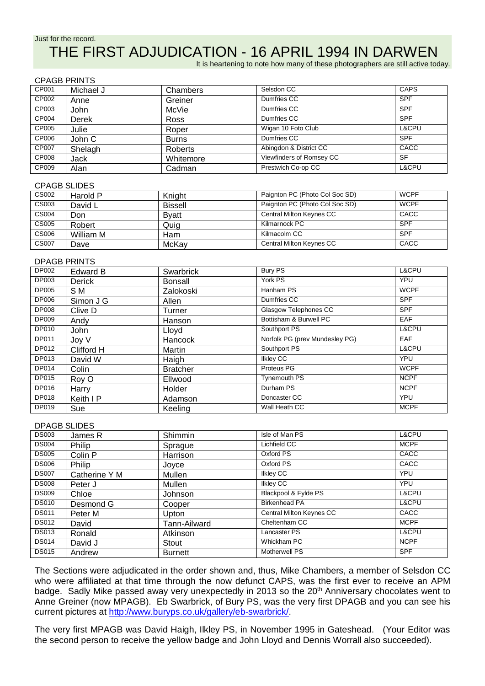CPAGB PRINTS

## THE FIRST ADJUDICATION - 16 APRIL 1994 IN DARWEN

It is heartening to note how many of these photographers are still active today.

|       | ULAQD LIVII 9 |              |                          |             |  |  |
|-------|---------------|--------------|--------------------------|-------------|--|--|
| CP001 | Michael J     | Chambers     | Selsdon CC               | <b>CAPS</b> |  |  |
| CP002 | Anne          | Greiner      | Dumfries CC              | <b>SPF</b>  |  |  |
| CP003 | John          | McVie        | Dumfries CC              | <b>SPF</b>  |  |  |
| CP004 | Derek         | <b>Ross</b>  | Dumfries CC              | <b>SPF</b>  |  |  |
| CP005 | Julie         | Roper        | Wigan 10 Foto Club       | L&CPU       |  |  |
| CP006 | John C        | <b>Burns</b> | Dumfries CC              | <b>SPF</b>  |  |  |
| CP007 | Shelagh       | Roberts      | Abingdon & District CC   | CACC        |  |  |
| CP008 | Jack          | Whitemore    | Viewfinders of Romsey CC | <b>SF</b>   |  |  |
| CP009 | Alan          | Cadman       | Prestwich Co-op CC       | L&CPU       |  |  |

#### CPAGB SLIDES

| CS002        | Harold P  | Knight         | Paignton PC (Photo Col Soc SD) | <b>WCPF</b> |
|--------------|-----------|----------------|--------------------------------|-------------|
| CS003        | David L   | <b>Bissell</b> | Paignton PC (Photo Col Soc SD) | <b>WCPF</b> |
| <b>CS004</b> | Don       | <b>B</b> vatt  | Central Milton Keynes CC       | CACC        |
| CS005        | Robert    | Quig           | Kilmarnock PC                  | <b>SPF</b>  |
| <b>CS006</b> | William M | Ham            | Kilmacolm CC                   | <b>SPF</b>  |
| <b>CS007</b> | Dave      | McKay          | Central Milton Keynes CC       | CACC        |

### DPAGB PRINTS

| DP002        | Edward B      | Swarbrick       | <b>Bury PS</b>                 | L&CPU       |
|--------------|---------------|-----------------|--------------------------------|-------------|
| DP003        | <b>Derick</b> | Bonsall         | York PS                        | <b>YPU</b>  |
| DP005        | S M           | Zalokoski       | Hanham PS                      | <b>WCPF</b> |
| DP006        | Simon J G     | Allen           | Dumfries CC                    | <b>SPF</b>  |
| <b>DP008</b> | Clive D       | Turner          | Glasgow Telephones CC          | <b>SPF</b>  |
| DP009        | Andy          | Hanson          | Bottisham & Burwell PC         | EAF         |
| DP010        | John          | Lloyd           | Southport PS                   | L&CPU       |
| DP011        | Joy V         | Hancock         | Norfolk PG (prev Mundesley PG) | <b>EAF</b>  |
| DP012        | Clifford H    | Martin          | Southport PS                   | L&CPU       |
| DP013        | David W       | Haigh           | <b>Ilkley CC</b>               | <b>YPU</b>  |
| DP014        | Colin         | <b>Bratcher</b> | Proteus PG                     | <b>WCPF</b> |
| DP015        | Roy O         | Ellwood         | <b>Tynemouth PS</b>            | <b>NCPF</b> |
| DP016        | Harry         | Holder          | Durham PS                      | <b>NCPF</b> |
| DP018        | Keith I P     | Adamson         | Doncaster CC                   | <b>YPU</b>  |
| DP019        | Sue           | Keeling         | Wall Heath CC                  | <b>MCPF</b> |

#### DPAGB SLIDES

| <b>DS003</b> | James R       | Shimmin        | Isle of Man PS           | L&CPU            |
|--------------|---------------|----------------|--------------------------|------------------|
| <b>DS004</b> | Philip        | Sprague        | Lichfield CC             | <b>MCPF</b>      |
| <b>DS005</b> | Colin P       | Harrison       | Oxford PS                | CACC             |
| <b>DS006</b> | Philip        | Joyce          | Oxford PS                | CACC             |
| <b>DS007</b> | Catherine Y M | Mullen         | <b>Ilkley CC</b>         | <b>YPU</b>       |
| <b>DS008</b> | Peter J       | Mullen         | <b>Ilkley CC</b>         | YPU              |
| <b>DS009</b> | Chloe         | <b>Johnson</b> | Blackpool & Fylde PS     | L&CPU            |
| <b>DS010</b> | Desmond G     | Cooper         | <b>Birkenhead PA</b>     | <b>L&amp;CPU</b> |
| <b>DS011</b> | Peter M       | Upton          | Central Milton Keynes CC | CACC             |
| <b>DS012</b> | David         | Tann-Ailward   | Cheltenham CC            | <b>MCPF</b>      |
| <b>DS013</b> | Ronald        | Atkinson       | Lancaster PS             | L&CPU            |
| <b>DS014</b> | David J       | Stout          | Whickham PC              | <b>NCPF</b>      |
| <b>DS015</b> | Andrew        | <b>Burnett</b> | <b>Motherwell PS</b>     | <b>SPF</b>       |

The Sections were adjudicated in the order shown and, thus, Mike Chambers, a member of Selsdon CC who were affiliated at that time through the now defunct CAPS, was the first ever to receive an APM badge. Sadly Mike passed away very unexpectedly in 2013 so the 20<sup>th</sup> Anniversary chocolates went to Anne Greiner (now MPAGB). Eb Swarbrick, of Bury PS, was the very first DPAGB and you can see his current pictures at [http://www.buryps.co.uk/gallery/eb-swarbrick/.](http://www.buryps.co.uk/gallery/eb-swarbrick/)

The very first MPAGB was David Haigh, Ilkley PS, in November 1995 in Gateshead. (Your Editor was the second person to receive the yellow badge and John Lloyd and Dennis Worrall also succeeded).